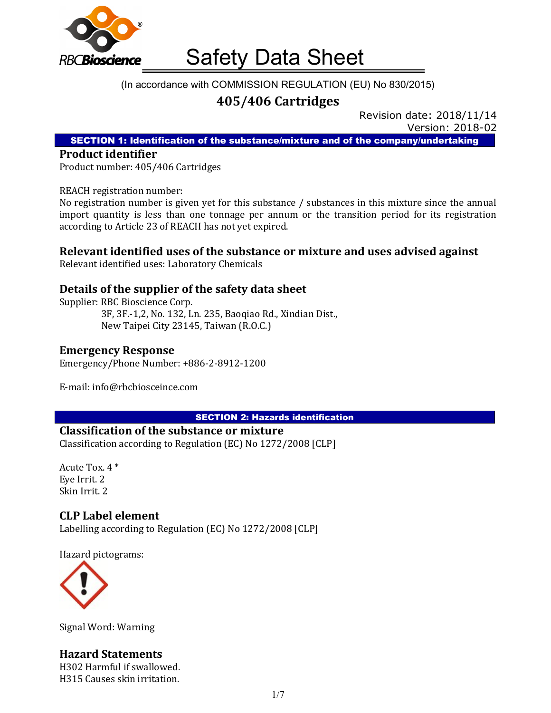

#### (In accordance with COMMISSION REGULATION (EU) No 830/2015)

# 405/406 Cartridges

Revision date: 2018/11/14 Version: 2018-02

SECTION 1: Identification of the substance/mixture and of the company/undertaking

#### Product identifier

Product number: 405/406 Cartridges

#### REACH registration number:

No registration number is given yet for this substance / substances in this mixture since the annual import quantity is less than one tonnage per annum or the transition period for its registration according to Article 23 of REACH has not yet expired.

#### Relevant identified uses of the substance or mixture and uses advised against

Relevant identified uses: Laboratory Chemicals

#### Details of the supplier of the safety data sheet

Supplier: RBC Bioscience Corp. 3F, 3F.-1,2, No. 132, Ln. 235, Baoqiao Rd., Xindian Dist., New Taipei City 23145, Taiwan (R.O.C.)

#### Emergency Response

Emergency/Phone Number: +886-2-8912-1200

E-mail: info@rbcbiosceince.com

SECTION 2: Hazards identification

#### Classification of the substance or mixture

Classification according to Regulation (EC) No 1272/2008 [CLP]

Acute Tox. 4 \* Eye Irrit. 2 Skin Irrit. 2

#### CLP Label element

Labelling according to Regulation (EC) No 1272/2008 [CLP]

Hazard pictograms:



Signal Word: Warning

## Hazard Statements

H302 Harmful if swallowed. H315 Causes skin irritation.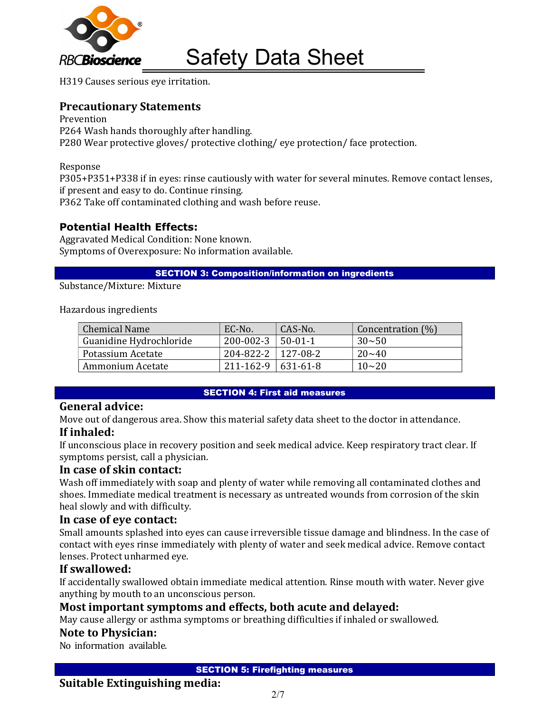

H319 Causes serious eye irritation.

### Precautionary Statements

Prevention P264 Wash hands thoroughly after handling. P280 Wear protective gloves/ protective clothing/ eye protection/ face protection.

Response

P305+P351+P338 if in eyes: rinse cautiously with water for several minutes. Remove contact lenses, if present and easy to do. Continue rinsing.

P362 Take off contaminated clothing and wash before reuse.

#### Potential Health Effects:

Aggravated Medical Condition: None known. Symptoms of Overexposure: No information available.

SECTION 3: Composition/information on ingredients

Substance/Mixture: Mixture

Hazardous ingredients

| Chemical Name           | EC-No.                                 | CAS-No. | Concentration (%) |
|-------------------------|----------------------------------------|---------|-------------------|
| Guanidine Hydrochloride | 200-002-3                              | 50-01-1 | $30 - 50$         |
| Potassium Acetate       | $204 - 822 - 2 \mid 127 - 08 - 2 \mid$ |         | $20 - 40$         |
| Ammonium Acetate        | $211 - 162 - 9$ 631-61-8               |         | $10 - 20$         |

#### SECTION 4: First aid measures

#### General advice:

Move out of dangerous area. Show this material safety data sheet to the doctor in attendance.

#### If inhaled:

If unconscious place in recovery position and seek medical advice. Keep respiratory tract clear. If symptoms persist, call a physician.

#### In case of skin contact:

Wash off immediately with soap and plenty of water while removing all contaminated clothes and shoes. Immediate medical treatment is necessary as untreated wounds from corrosion of the skin heal slowly and with difficulty.

#### In case of eye contact:

Small amounts splashed into eyes can cause irreversible tissue damage and blindness. In the case of contact with eyes rinse immediately with plenty of water and seek medical advice. Remove contact lenses. Protect unharmed eye.

#### If swallowed:

If accidentally swallowed obtain immediate medical attention. Rinse mouth with water. Never give anything by mouth to an unconscious person.

## Most important symptoms and effects, both acute and delayed:

May cause allergy or asthma symptoms or breathing difficulties if inhaled or swallowed.

#### Note to Physician:

No information available.

SECTION 5: Firefighting measures

#### Suitable Extinguishing media: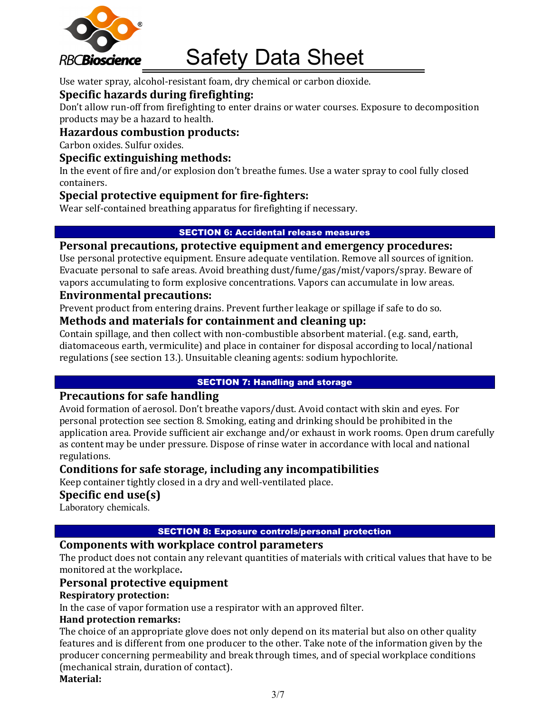

Use water spray, alcohol-resistant foam, dry chemical or carbon dioxide.

## Specific hazards during firefighting:

Don't allow run-off from firefighting to enter drains or water courses. Exposure to decomposition products may be a hazard to health.

#### Hazardous combustion products:

Carbon oxides. Sulfur oxides.

#### Specific extinguishing methods:

In the event of fire and/or explosion don't breathe fumes. Use a water spray to cool fully closed containers.

### Special protective equipment for fire-fighters:

Wear self-contained breathing apparatus for firefighting if necessary.

#### SECTION 6: Accidental release measures

#### Personal precautions, protective equipment and emergency procedures:

Use personal protective equipment. Ensure adequate ventilation. Remove all sources of ignition. Evacuate personal to safe areas. Avoid breathing dust/fume/gas/mist/vapors/spray. Beware of vapors accumulating to form explosive concentrations. Vapors can accumulate in low areas.

#### Environmental precautions:

Prevent product from entering drains. Prevent further leakage or spillage if safe to do so.

#### Methods and materials for containment and cleaning up:

Contain spillage, and then collect with non-combustible absorbent material. (e.g. sand, earth, diatomaceous earth, vermiculite) and place in container for disposal according to local/national regulations (see section 13.). Unsuitable cleaning agents: sodium hypochlorite.

#### SECTION 7: Handling and storage

#### Precautions for safe handling

Avoid formation of aerosol. Don't breathe vapors/dust. Avoid contact with skin and eyes. For personal protection see section 8. Smoking, eating and drinking should be prohibited in the application area. Provide sufficient air exchange and/or exhaust in work rooms. Open drum carefully as content may be under pressure. Dispose of rinse water in accordance with local and national regulations.

## Conditions for safe storage, including any incompatibilities

Keep container tightly closed in a dry and well-ventilated place.

#### Specific end use(s)

Laboratory chemicals.

#### SECTION 8: Exposure controls/personal protection

#### Components with workplace control parameters

The product does not contain any relevant quantities of materials with critical values that have to be monitored at the workplace.

#### Personal protective equipment

#### Respiratory protection:

In the case of vapor formation use a respirator with an approved filter.

#### Hand protection remarks:

The choice of an appropriate glove does not only depend on its material but also on other quality features and is different from one producer to the other. Take note of the information given by the producer concerning permeability and break through times, and of special workplace conditions (mechanical strain, duration of contact).

#### Material: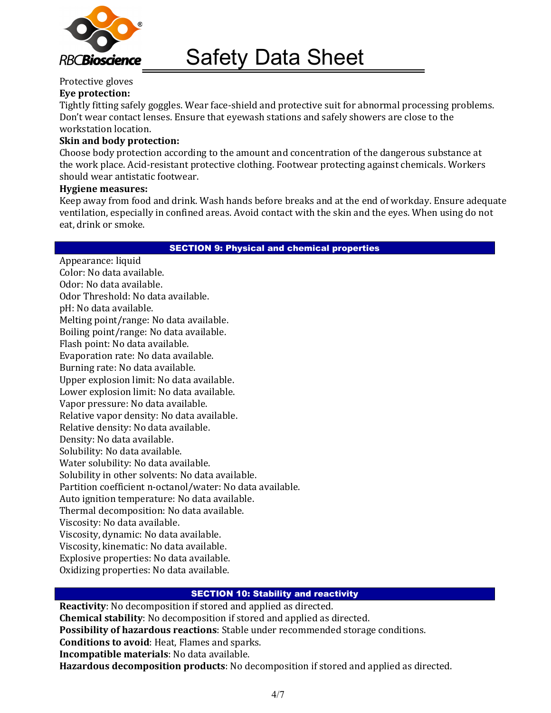

#### Protective gloves Eye protection:

Tightly fitting safely goggles. Wear face-shield and protective suit for abnormal processing problems. Don't wear contact lenses. Ensure that eyewash stations and safely showers are close to the workstation location.

#### Skin and body protection:

Choose body protection according to the amount and concentration of the dangerous substance at the work place. Acid-resistant protective clothing. Footwear protecting against chemicals. Workers should wear antistatic footwear.

#### Hygiene measures:

Keep away from food and drink. Wash hands before breaks and at the end of workday. Ensure adequate ventilation, especially in confined areas. Avoid contact with the skin and the eyes. When using do not eat, drink or smoke.

#### SECTION 9: Physical and chemical properties

Appearance: liquid Color: No data available. Odor: No data available. Odor Threshold: No data available. pH: No data available. Melting point/range: No data available. Boiling point/range: No data available. Flash point: No data available. Evaporation rate: No data available. Burning rate: No data available. Upper explosion limit: No data available. Lower explosion limit: No data available. Vapor pressure: No data available. Relative vapor density: No data available. Relative density: No data available. Density: No data available. Solubility: No data available. Water solubility: No data available. Solubility in other solvents: No data available. Partition coefficient n-octanol/water: No data available. Auto ignition temperature: No data available. Thermal decomposition: No data available. Viscosity: No data available. Viscosity, dynamic: No data available. Viscosity, kinematic: No data available. Explosive properties: No data available. Oxidizing properties: No data available.

#### SECTION 10: Stability and reactivity

Reactivity: No decomposition if stored and applied as directed. Chemical stability: No decomposition if stored and applied as directed. Possibility of hazardous reactions: Stable under recommended storage conditions. Conditions to avoid: Heat, Flames and sparks. Incompatible materials: No data available. Hazardous decomposition products: No decomposition if stored and applied as directed.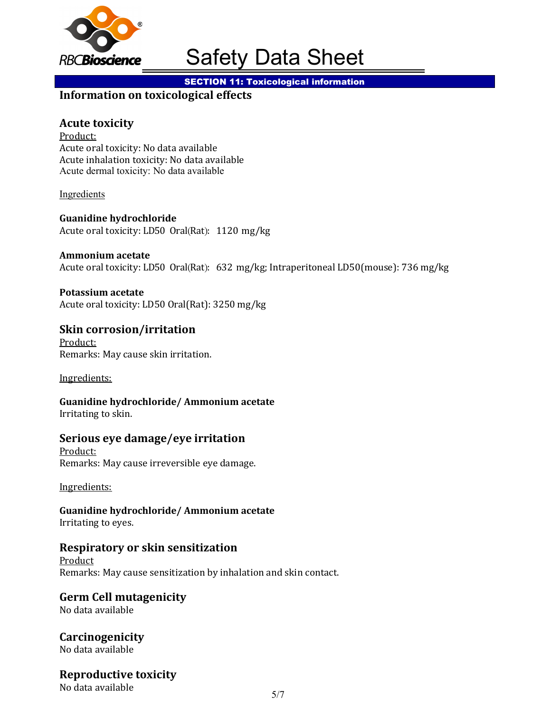

**SECTION 11: Toxicological information** 

# Information on toxicological effects

## Acute toxicity

Product: Acute oral toxicity: No data available Acute inhalation toxicity: No data available Acute dermal toxicity: No data available

Ingredients

Guanidine hydrochloride Acute oral toxicity: LD50 Oral(Rat): 1120 mg/kg

#### Ammonium acetate

Acute oral toxicity: LD50 Oral(Rat): 632 mg/kg; Intraperitoneal LD50(mouse): 736 mg/kg

#### Potassium acetate

Acute oral toxicity: LD50 Oral(Rat): 3250 mg/kg

# Skin corrosion/irritation

Product: Remarks: May cause skin irritation.

Ingredients:

Guanidine hydrochloride/ Ammonium acetate Irritating to skin.

#### Serious eye damage/eye irritation

Product: Remarks: May cause irreversible eye damage.

Ingredients:

Guanidine hydrochloride/ Ammonium acetate Irritating to eyes.

#### Respiratory or skin sensitization

Product Remarks: May cause sensitization by inhalation and skin contact.

#### Germ Cell mutagenicity

No data available

**Carcinogenicity** No data available

# Reproductive toxicity

No data available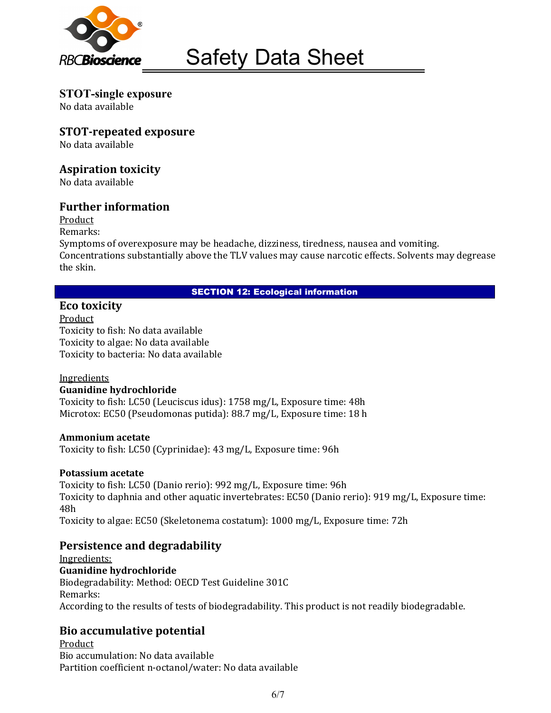

STOT-single exposure No data available

STOT-repeated exposure

No data available

## Aspiration toxicity

No data available

## Further information

Product

Remarks:

Symptoms of overexposure may be headache, dizziness, tiredness, nausea and vomiting. Concentrations substantially above the TLV values may cause narcotic effects. Solvents may degrease the skin.

#### SECTION 12: Ecological information

## Eco toxicity

Product Toxicity to fish: No data available Toxicity to algae: No data available Toxicity to bacteria: No data available

# **Ingredients**

#### Guanidine hydrochloride

Toxicity to fish: LC50 (Leuciscus idus): 1758 mg/L, Exposure time: 48h Microtox: EC50 (Pseudomonas putida): 88.7 mg/L, Exposure time: 18 h

#### Ammonium acetate

Toxicity to fish: LC50 (Cyprinidae): 43 mg/L, Exposure time: 96h

#### Potassium acetate

Toxicity to fish: LC50 (Danio rerio): 992 mg/L, Exposure time: 96h Toxicity to daphnia and other aquatic invertebrates: EC50 (Danio rerio): 919 mg/L, Exposure time: 48h Toxicity to algae: EC50 (Skeletonema costatum): 1000 mg/L, Exposure time: 72h

# Persistence and degradability

Ingredients: Guanidine hydrochloride Biodegradability: Method: OECD Test Guideline 301C Remarks: According to the results of tests of biodegradability. This product is not readily biodegradable.

# Bio accumulative potential

Product Bio accumulation: No data available Partition coefficient n-octanol/water: No data available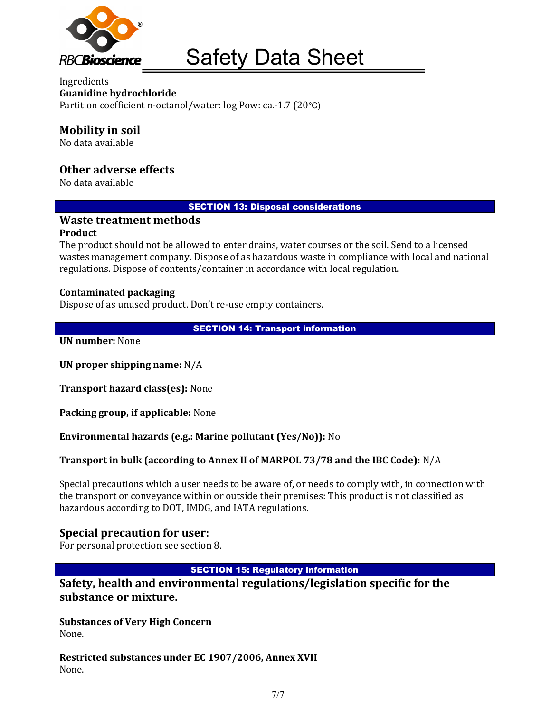

**Ingredients** Guanidine hydrochloride Partition coefficient n-octanol/water: log Pow: ca.-1.7 (20°C)

# Mobility in soil

No data available

## Other adverse effects

No data available

#### SECTION 13: Disposal considerations

#### Waste treatment methods

#### Product

The product should not be allowed to enter drains, water courses or the soil. Send to a licensed wastes management company. Dispose of as hazardous waste in compliance with local and national regulations. Dispose of contents/container in accordance with local regulation.

#### Contaminated packaging

Dispose of as unused product. Don't re-use empty containers.

SECTION 14: Transport information

UN number: None

UN proper shipping name: N/A

Transport hazard class(es): None

Packing group, if applicable: None

Environmental hazards (e.g.: Marine pollutant (Yes/No)): No

Transport in bulk (according to Annex II of MARPOL 73/78 and the IBC Code): N/A

Special precautions which a user needs to be aware of, or needs to comply with, in connection with the transport or conveyance within or outside their premises: This product is not classified as hazardous according to DOT, IMDG, and IATA regulations.

#### Special precaution for user:

For personal protection see section 8.

#### SECTION 15: Regulatory information

Safety, health and environmental regulations/legislation specific for the substance or mixture.

Substances of Very High Concern None.

Restricted substances under EC 1907/2006, Annex XVII None.